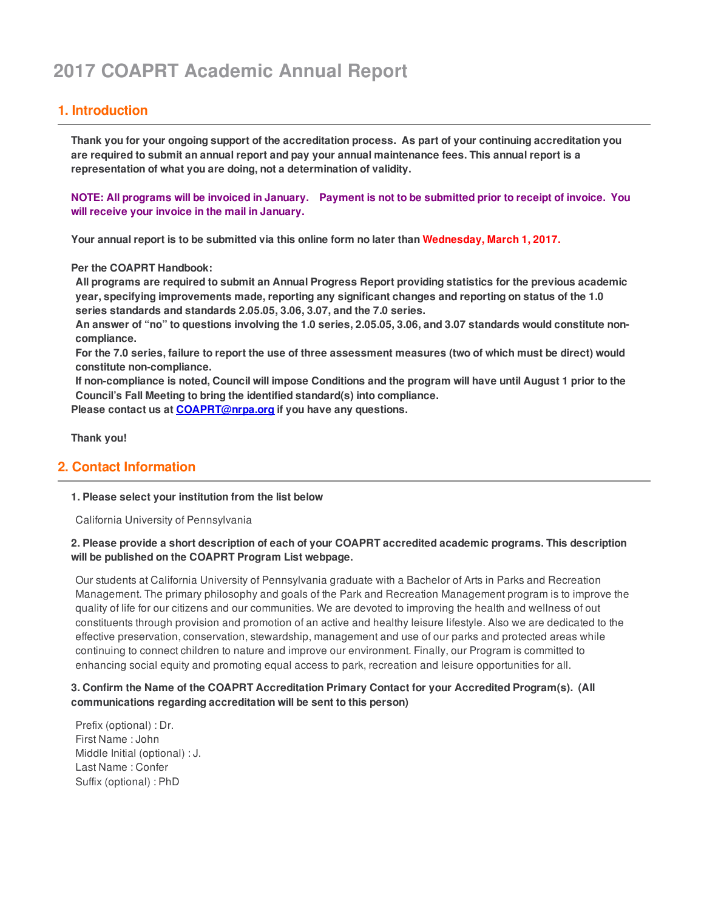# **2017 COAPRT Academic Annual Report**

# **1. Introduction**

Thank you for your ongoing support of the accreditation process. As part of your continuing accreditation you are required to submit an annual report and pay your annual maintenance fees. This annual report is a **representation of what you are doing, not a determination of validity.**

NOTE: All programs will be invoiced in January. Payment is not to be submitted prior to receipt of invoice. You **will receive your invoice in the mail in January.**

**Your annual report is to be submitted via this online form no later than Wednesday, March 1, 2017.**

**Per the COAPRT Handbook:**

**All programs are required to submit an Annual Progress Report providing statistics for the previous academic year, specifying improvements made, reporting any significant changes and reporting on status of the 1.0 series standards and standards 2.05.05, 3.06, 3.07, and the 7.0 series.**

An answer of "no" to questions involving the 1.0 series, 2.05.05, 3.06, and 3.07 standards would constitute non**compliance.**

For the 7.0 series, failure to report the use of three assessment measures (two of which must be direct) would **constitute non-compliance.**

If non-compliance is noted, Council will impose Conditions and the program will have until August 1 prior to the **Council's Fall Meeting to bring the identified standard(s) into compliance.**

**Please contact us at [COAPRT@nrpa.org](mailto:coaprt@nrpa.org?subject=2011 COAPRT Annual Report) if you have any questions.**

**Thank you!**

# **2. Contact Information**

#### **1. Please select your institution from the list below**

California University of Pennsylvania

## **2. Please provide a short description of each of your COAPRT accredited academic programs. This description will be published on the COAPRT Program List webpage.**

Our students at California University of Pennsylvania graduate with a Bachelor of Arts in Parks and Recreation Management. The primary philosophy and goals of the Park and Recreation Management program is to improve the quality of life for our citizens and our communities. We are devoted to improving the health and wellness of out constituents through provision and promotion of an active and healthy leisure lifestyle. Also we are dedicated to the effective preservation, conservation, stewardship, management and use of our parks and protected areas while continuing to connect children to nature and improve our environment. Finally, our Program is committed to enhancing social equity and promoting equal access to park, recreation and leisure opportunities for all.

## **3. Confirm the Name of the COAPRT Accreditation Primary Contact for your Accredited Program(s). (All communications regarding accreditation will be sent to this person)**

Prefix (optional) : Dr. First Name : John Middle Initial (optional) : J. Last Name : Confer Suffix (optional) : PhD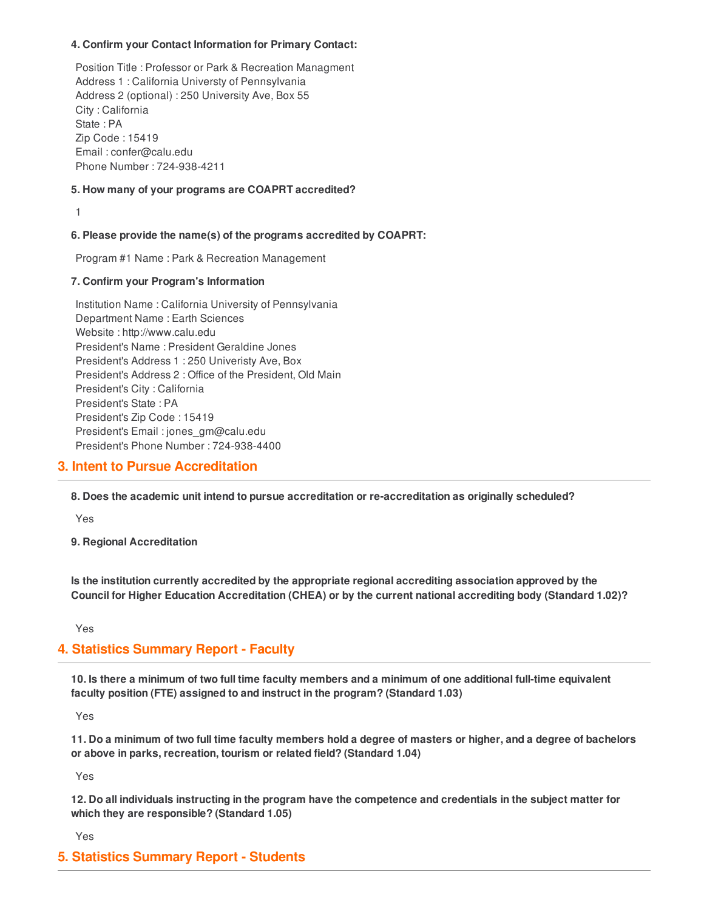#### **4. Confirm your Contact Information for Primary Contact:**

Position Title : Professor or Park & Recreation Managment Address 1 : California Universty of Pennsylvania Address 2 (optional) : 250 University Ave, Box 55 City : California State : PA Zip Code : 15419 Email : confer@calu.edu Phone Number : 724-938-4211

#### **5. How many of your programs are COAPRT accredited?**

1

## **6. Please provide the name(s) of the programs accredited by COAPRT:**

Program #1 Name : Park & Recreation Management

#### **7. Confirm your Program's Information**

Institution Name : California University of Pennsylvania Department Name : Earth Sciences Website : http://www.calu.edu President's Name : President Geraldine Jones President's Address 1 : 250 Univeristy Ave, Box President's Address 2 : Office of the President, Old Main President's City : California President's State : PA President's Zip Code : 15419 President's Email : jones\_gm@calu.edu President's Phone Number : 724-938-4400

# **3. Intent to Pursue Accreditation**

**8. Does the academic unit intend to pursue accreditation or re-accreditation as originally scheduled?**

Yes

**9. Regional Accreditation**

**Is the institution currently accredited by the appropriate regional accrediting association approved by the Council for Higher Education Accreditation (CHEA) or by the current national accrediting body (Standard 1.02)?**

Yes

# **4. Statistics Summary Report - Faculty**

10. Is there a minimum of two full time faculty members and a minimum of one additional full-time equivalent **faculty position (FTE) assigned to and instruct in the program? (Standard 1.03)**

Yes

11. Do a minimum of two full time faculty members hold a degree of masters or higher, and a degree of bachelors **or above in parks, recreation, tourism or related field? (Standard 1.04)**

Yes

12. Do all individuals instructing in the program have the competence and credentials in the subject matter for **which they are responsible? (Standard 1.05)**

Yes

# **5. Statistics Summary Report - Students**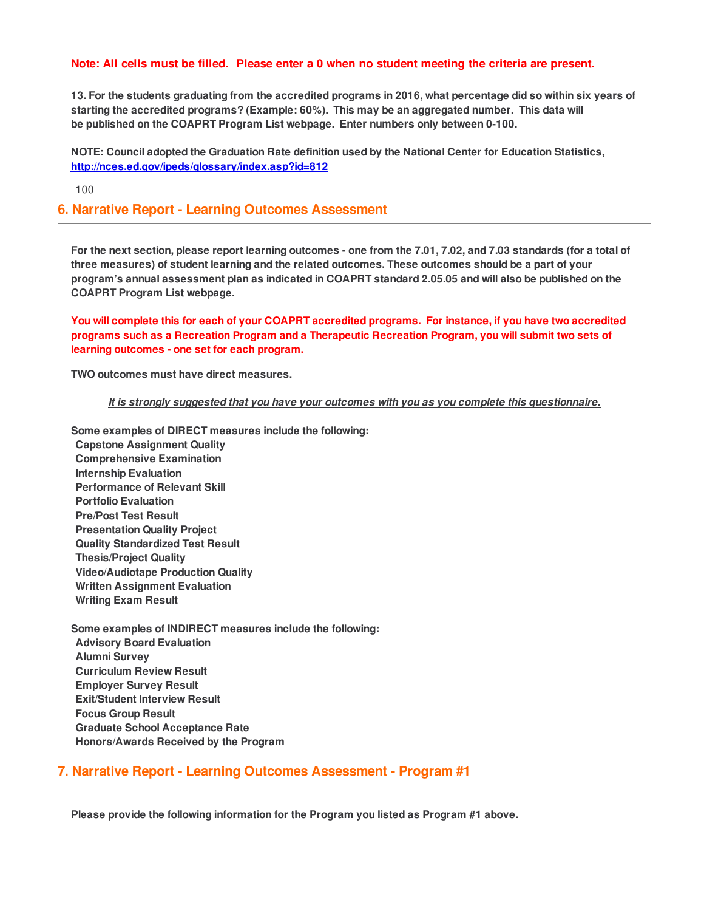#### **Note: All cells must be filled. Please enter a 0 when no student meeting the criteria are present.**

13. For the students graduating from the accredited programs in 2016, what percentage did so within six years of **starting the accredited programs? (Example: 60%). This may be an aggregated number. This data will be published on the COAPRT Program List webpage. Enter numbers only between 0-100.**

**NOTE: Council adopted the Graduation Rate definition used by the National Center for Education Statistics, <http://nces.ed.gov/ipeds/glossary/index.asp?id=812>**

100

## **6. Narrative Report - Learning Outcomes Assessment**

For the next section, please report learning outcomes - one from the 7.01, 7.02, and 7.03 standards (for a total of **three measures) of student learning and the related outcomes. These outcomes should be a part of your** program's annual assessment plan as indicated in COAPRT standard 2.05.05 and will also be published on the **COAPRT Program List webpage.**

You will complete this for each of your COAPRT accredited programs. For instance, if you have two accredited **programs such as a Recreation Program and a Therapeutic Recreation Program, you will submit two sets of learning outcomes - one set for each program.**

**TWO outcomes must have direct measures.**

*It is strongly suggested that you have your outcomes with you as you complete this questionnaire.*

**Some examples of DIRECT measures include the following: Capstone Assignment Quality Comprehensive Examination Internship Evaluation Performance of Relevant Skill Portfolio Evaluation Pre/Post Test Result Presentation Quality Project Quality Standardized Test Result Thesis/Project Quality Video/Audiotape Production Quality Written Assignment Evaluation Writing Exam Result**

**Some examples of INDIRECT measures include the following: Advisory Board Evaluation Alumni Survey Curriculum Review Result Employer Survey Result Exit/Student Interview Result Focus Group Result Graduate School Acceptance Rate Honors/Awards Received by the Program**

# **7. Narrative Report - Learning Outcomes Assessment - Program #1**

**Please provide the following information for the Program you listed as Program #1 above.**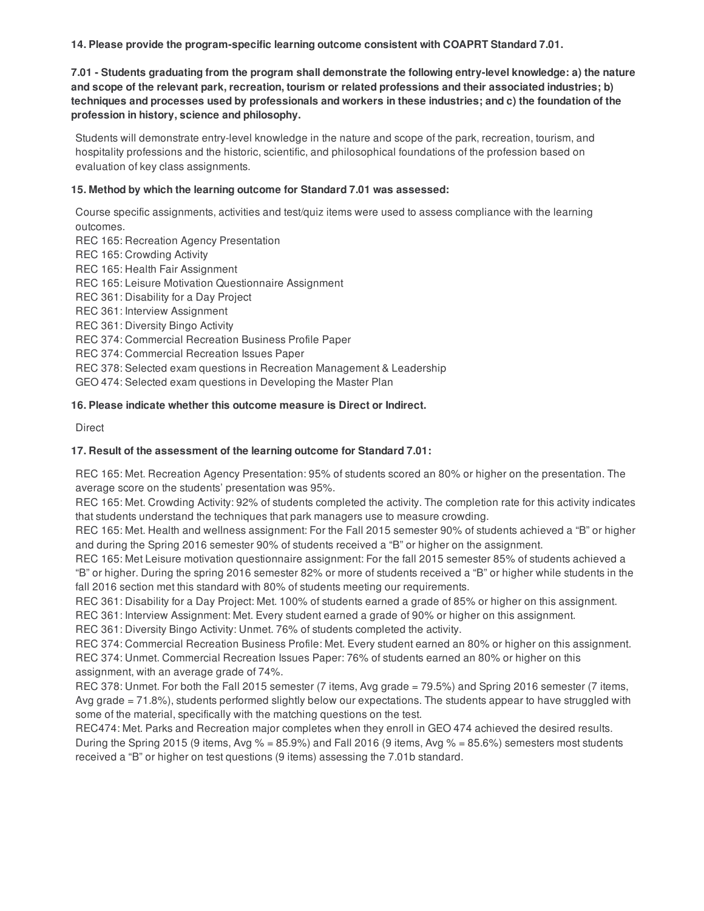**14. Please provide the program-specific learning outcome consistent with COAPRT Standard 7.01.**

**7.01 - Students graduating from the program shall demonstrate the following entry-level knowledge: a) the nature and scope of the relevant park, recreation, tourism or related professions and their associated industries; b)** techniques and processes used by professionals and workers in these industries; and c) the foundation of the **profession in history, science and philosophy.**

Students will demonstrate entry-level knowledge in the nature and scope of the park, recreation, tourism, and hospitality professions and the historic, scientific, and philosophical foundations of the profession based on evaluation of key class assignments.

## **15. Method by which the learning outcome for Standard 7.01 was assessed:**

Course specific assignments, activities and test/quiz items were used to assess compliance with the learning outcomes.

REC 165: Recreation Agency Presentation REC 165: Crowding Activity REC 165: Health Fair Assignment REC 165: Leisure Motivation Questionnaire Assignment REC 361: Disability for a Day Project REC 361: Interview Assignment REC 361: Diversity Bingo Activity REC 374: Commercial Recreation Business Profile Paper REC 374: Commercial Recreation Issues Paper REC 378: Selected exam questions in Recreation Management & Leadership GEO 474: Selected exam questions in Developing the Master Plan

## **16. Please indicate whether this outcome measure is Direct or Indirect.**

**Direct** 

## **17. Result of the assessment of the learning outcome for Standard 7.01:**

REC 165: Met. Recreation Agency Presentation: 95% of students scored an 80% or higher on the presentation. The average score on the students' presentation was 95%.

REC 165: Met. Crowding Activity: 92% of students completed the activity. The completion rate for this activity indicates that students understand the techniques that park managers use to measure crowding.

REC 165: Met. Health and wellness assignment: For the Fall 2015 semester 90% of students achieved a "B" or higher and during the Spring 2016 semester 90% of students received a "B" or higher on the assignment.

REC 165: Met Leisure motivation questionnaire assignment: For the fall 2015 semester 85% of students achieved a "B" or higher. During the spring 2016 semester 82% or more of students received a "B" or higher while students in the fall 2016 section met this standard with 80% of students meeting our requirements.

REC 361: Disability for a Day Project: Met. 100% of students earned a grade of 85% or higher on this assignment.

REC 361: Interview Assignment: Met. Every student earned a grade of 90% or higher on this assignment.

REC 361: Diversity Bingo Activity: Unmet. 76% of students completed the activity.

REC 374: Commercial Recreation Business Profile: Met. Every student earned an 80% or higher on this assignment. REC 374: Unmet. Commercial Recreation Issues Paper: 76% of students earned an 80% or higher on this assignment, with an average grade of 74%.

REC 378: Unmet. For both the Fall 2015 semester (7 items, Avg grade = 79.5%) and Spring 2016 semester (7 items, Avg grade = 71.8%), students performed slightly below our expectations. The students appear to have struggled with some of the material, specifically with the matching questions on the test.

REC474: Met. Parks and Recreation major completes when they enroll in GEO 474 achieved the desired results. During the Spring 2015 (9 items, Avg  $\%$  = 85.9%) and Fall 2016 (9 items, Avg  $\%$  = 85.6%) semesters most students received a "B" or higher on test questions (9 items) assessing the 7.01b standard.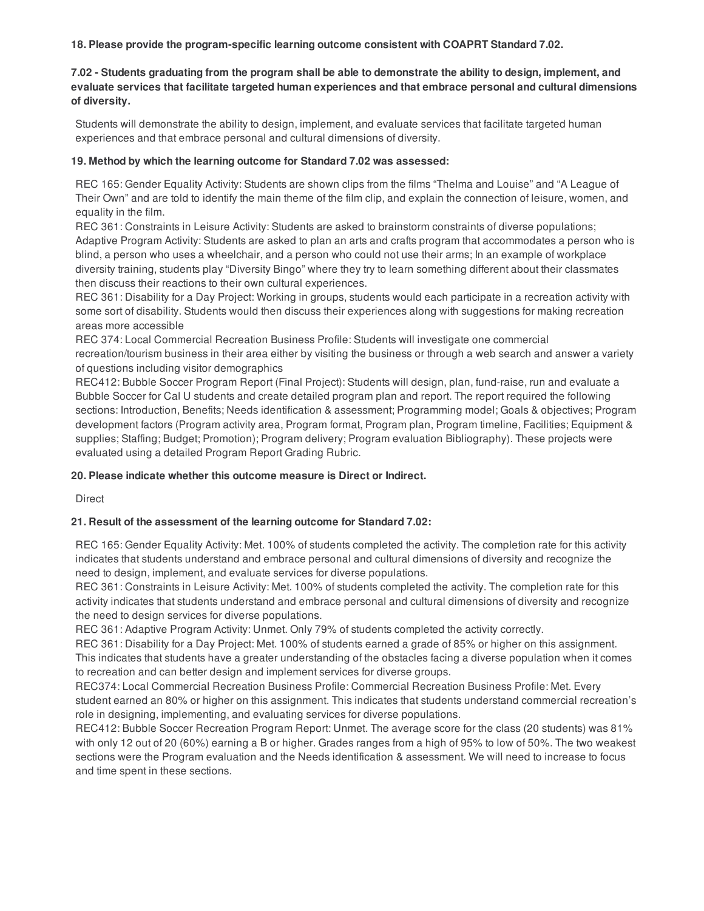**18. Please provide the program-specific learning outcome consistent with COAPRT Standard 7.02.**

#### 7.02 - Students graduating from the program shall be able to demonstrate the ability to design, implement, and **evaluate services that facilitate targeted human experiences and that embrace personal and cultural dimensions of diversity.**

Students will demonstrate the ability to design, implement, and evaluate services that facilitate targeted human experiences and that embrace personal and cultural dimensions of diversity.

#### **19. Method by which the learning outcome for Standard 7.02 was assessed:**

REC 165: Gender Equality Activity: Students are shown clips from the films "Thelma and Louise" and "A League of Their Own" and are told to identify the main theme of the film clip, and explain the connection of leisure, women, and equality in the film.

REC 361: Constraints in Leisure Activity: Students are asked to brainstorm constraints of diverse populations; Adaptive Program Activity: Students are asked to plan an arts and crafts program that accommodates a person who is blind, a person who uses a wheelchair, and a person who could not use their arms; In an example of workplace diversity training, students play "Diversity Bingo" where they try to learn something different about their classmates then discuss their reactions to their own cultural experiences.

REC 361: Disability for a Day Project: Working in groups, students would each participate in a recreation activity with some sort of disability. Students would then discuss their experiences along with suggestions for making recreation areas more accessible

REC 374: Local Commercial Recreation Business Profile: Students will investigate one commercial recreation/tourism business in their area either by visiting the business or through a web search and answer a variety of questions including visitor demographics

REC412: Bubble Soccer Program Report (Final Project): Students will design, plan, fund-raise, run and evaluate a Bubble Soccer for Cal U students and create detailed program plan and report. The report required the following sections: Introduction, Benefits; Needs identification & assessment; Programming model; Goals & objectives; Program development factors (Program activity area, Program format, Program plan, Program timeline, Facilities; Equipment & supplies; Staffing; Budget; Promotion); Program delivery; Program evaluation Bibliography). These projects were evaluated using a detailed Program Report Grading Rubric.

# **20. Please indicate whether this outcome measure is Direct or Indirect.**

Direct

# **21. Result of the assessment of the learning outcome for Standard 7.02:**

REC 165: Gender Equality Activity: Met. 100% of students completed the activity. The completion rate for this activity indicates that students understand and embrace personal and cultural dimensions of diversity and recognize the need to design, implement, and evaluate services for diverse populations.

REC 361: Constraints in Leisure Activity: Met. 100% of students completed the activity. The completion rate for this activity indicates that students understand and embrace personal and cultural dimensions of diversity and recognize the need to design services for diverse populations.

REC 361: Adaptive Program Activity: Unmet. Only 79% of students completed the activity correctly.

REC 361: Disability for a Day Project: Met. 100% of students earned a grade of 85% or higher on this assignment. This indicates that students have a greater understanding of the obstacles facing a diverse population when it comes to recreation and can better design and implement services for diverse groups.

REC374: Local Commercial Recreation Business Profile: Commercial Recreation Business Profile: Met. Every student earned an 80% or higher on this assignment. This indicates that students understand commercial recreation's role in designing, implementing, and evaluating services for diverse populations.

REC412: Bubble Soccer Recreation Program Report: Unmet. The average score for the class (20 students) was 81% with only 12 out of 20 (60%) earning a B or higher. Grades ranges from a high of 95% to low of 50%. The two weakest sections were the Program evaluation and the Needs identification & assessment. We will need to increase to focus and time spent in these sections.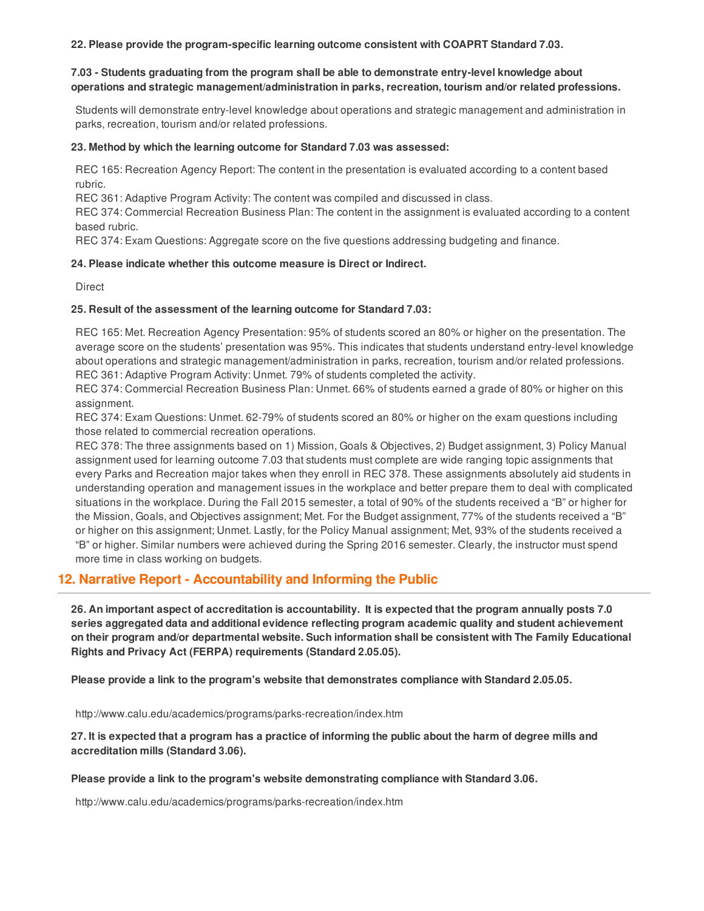**22. Please provide the program-specific learning outcome consistent with COAPRT Standard 7.03.**

#### **7.03 - Students graduating from the program shall be able to demonstrate entry-level knowledge about operations and strategic management/administration in parks, recreation, tourism and/or related professions.**

Students will demonstrate entry-level knowledge about operations and strategic management and administration in parks, recreation, tourism and/or related professions.

#### **23. Method by which the learning outcome for Standard 7.03 was assessed:**

REC 165: Recreation Agency Report: The content in the presentation is evaluated according to a content based rubric.

REC 361: Adaptive Program Activity: The content was compiled and discussed in class.

REC 374: Commercial Recreation Business Plan: The content in the assignment is evaluated according to a content based rubric.

REC 374: Exam Questions: Aggregate score on the five questions addressing budgeting and finance.

#### **24. Please indicate whether this outcome measure is Direct or Indirect.**

**Direct** 

#### **25. Result of the assessment of the learning outcome for Standard 7.03:**

REC 165: Met. Recreation Agency Presentation: 95% of students scored an 80% or higher on the presentation. The average score on the students' presentation was 95%. This indicates that students understand entry-level knowledge about operations and strategic management/administration in parks, recreation, tourism and/or related professions. REC 361: Adaptive Program Activity: Unmet. 79% of students completed the activity.

REC 374: Commercial Recreation Business Plan: Unmet. 66% of students earned a grade of 80% or higher on this assignment.

REC 374: Exam Questions: Unmet. 62-79% of students scored an 80% or higher on the exam questions including those related to commercial recreation operations.

REC 378: The three assignments based on 1) Mission, Goals & Objectives, 2) Budget assignment, 3) Policy Manual assignment used for learning outcome 7.03 that students must complete are wide ranging topic assignments that every Parks and Recreation major takes when they enroll in REC 378. These assignments absolutely aid students in understanding operation and management issues in the workplace and better prepare them to deal with complicated situations in the workplace. During the Fall 2015 semester, a total of 90% of the students received a "B" or higher for the Mission, Goals, and Objectives assignment; Met. For the Budget assignment, 77% of the students received a "B" or higher on this assignment; Unmet. Lastly, for the Policy Manual assignment; Met, 93% of the students received a "B" or higher. Similar numbers were achieved during the Spring 2016 semester. Clearly, the instructor must spend more time in class working on budgets.

# **12. Narrative Report - Accountability and Informing the Public**

26. An important aspect of accreditation is accountability. It is expected that the program annually posts 7.0 **series aggregated data and additional evidence reflecting program academic quality and student achievement on their program and/or departmental website. Such information shall be consistent with The Family Educational Rights and Privacy Act (FERPA) requirements (Standard 2.05.05).**

**Please provide a link to the program's website that demonstrates compliance with Standard 2.05.05.**

http://www.calu.edu/academics/programs/parks-recreation/index.htm

27. It is expected that a program has a practice of informing the public about the harm of degree mills and **accreditation mills (Standard 3.06).**

#### **Please provide a link to the program's website demonstrating compliance with Standard 3.06.**

http://www.calu.edu/academics/programs/parks-recreation/index.htm